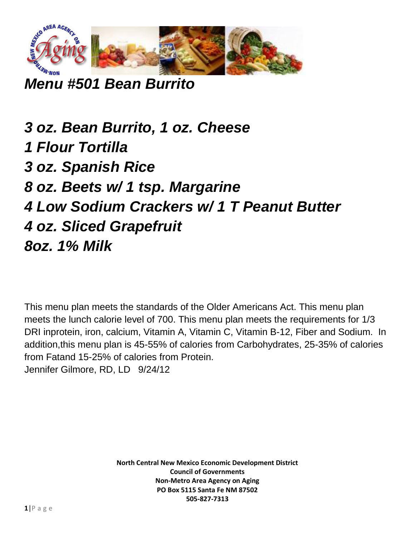

*Menu #501 Bean Burrito*

*3 oz. Bean Burrito, 1 oz. Cheese 1 Flour Tortilla 3 oz. Spanish Rice 8 oz. Beets w/ 1 tsp. Margarine 4 Low Sodium Crackers w/ 1 T Peanut Butter 4 oz. Sliced Grapefruit 8oz. 1% Milk*

This menu plan meets the standards of the Older Americans Act. This menu plan meets the lunch calorie level of 700. This menu plan meets the requirements for 1/3 DRI inprotein, iron, calcium, Vitamin A, Vitamin C, Vitamin B-12, Fiber and Sodium. In addition,this menu plan is 45-55% of calories from Carbohydrates, 25-35% of calories from Fatand 15-25% of calories from Protein. Jennifer Gilmore, RD, LD 9/24/12

> **North Central New Mexico Economic Development District Council of Governments Non-Metro Area Agency on Aging PO Box 5115 Santa Fe NM 87502 505-827-7313**